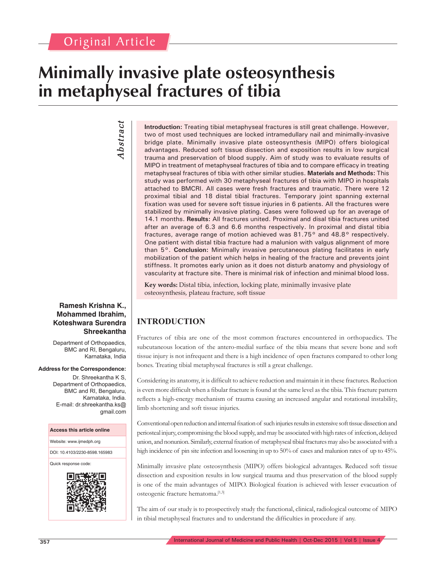# **Minimally invasive plate osteosynthesis in metaphyseal fractures of tibia**

# *Abstract Abstract*

two of most used techniques are locked intramedullary nail and minimally-invasive bridge plate. Minimally invasive plate osteosynthesis (MIPO) offers biological advantages. Reduced soft tissue dissection and exposition results in low surgical trauma and preservation of blood supply. Aim of study was to evaluate results of MIPO in treatment of metaphyseal fractures of tibia and to compare efficacy in treating metaphyseal fractures of tibia with other similar studies. **Materials and Methods:** This study was performed with 30 metaphyseal fractures of tibia with MIPO in hospitals attached to BMCRI. All cases were fresh fractures and traumatic. There were 12 proximal tibial and 18 distal tibial fractures. Temporary joint spanning external fixation was used for severe soft tissue injuries in 6 patients. All the fractures were stabilized by minimally invasive plating. Cases were followed up for an average of 14.1 months. **Results:** All fractures united. Proximal and disal tibia fractures united after an average of 6.3 and 6.6 months respectively. In proximal and distal tibia fractures, average range of motion achieved was 81.75° and 48.8° respectively. One patient with distal tibia fracture had a malunion with valgus alignment of more than 5°. **Conclusion:** Minimally invasive percutaneous plating facilitates in early mobilization of the patient which helps in healing of the fracture and prevents joint stiffness. It promotes early union as it does not disturb anatomy and physiology of vascularity at fracture site. There is minimal risk of infection and minimal blood loss.

**Introduction:** Treating tibial metaphyseal fractures is still great challenge. However,

**Key words:** Distal tibia, infection, locking plate, minimally invasive plate osteosynthesis, plateau fracture, soft tissue

# **INTRODUCTION**

Fractures of tibia are one of the most common fractures encountered in orthopaedics. The subcutaneous location of the antero-medial surface of the tibia means that severe bone and soft tissue injury is not infrequent and there is a high incidence of open fractures compared to other long bones. Treating tibial metaphyseal fractures is still a great challenge.

Considering its anatomy, it is difficult to achieve reduction and maintain it in these fractures. Reduction is even more difficult when a fibular fracture is found at the same level as the tibia. This fracture pattern reflects a high-energy mechanism of trauma causing an increased angular and rotational instability, limb shortening and soft tissue injuries.

Conventional open reduction and internal fixation of such injuries results in extensive soft tissue dissection and periosteal injury, compromising the blood supply, and may be associated with high rates of infection, delayed union, and nonunion. Similarly, external fixation of metaphyseal tibial fractures may also be associated with a high incidence of pin site infection and loosening in up to 50% of cases and malunion rates of up to 45%.

Minimally invasive plate osteosynthesis (MIPO) offers biological advantages. Reduced soft tissue dissection and exposition results in low surgical trauma and thus preservation of the blood supply is one of the main advantages of MIPO. Biological fixation is achieved with lesser evacuation of osteogenic fracture hematoma.[1,3]

The aim of our study is to prospectively study the functional, clinical, radiological outcome of MIPO in tibial metaphyseal fractures and to understand the difficulties in procedure if any.

### **Ramesh Krishna K., Mohammed Ibrahim, Koteshwara Surendra Shreekantha**

Department of Orthopaedics, BMC and RI, Bengaluru, Karnataka, India

#### **Address for the Correspondence:**

Dr. Shreekantha K S, Department of Orthopaedics, BMC and RI, Bengaluru, Karnataka, India. E-mail: dr.shreekantha.ks@ gmail.com

#### **Access this article online**

Website: www.ijmedph.org

DOI: 10.4103/2230-8598.165983

Quick response code:

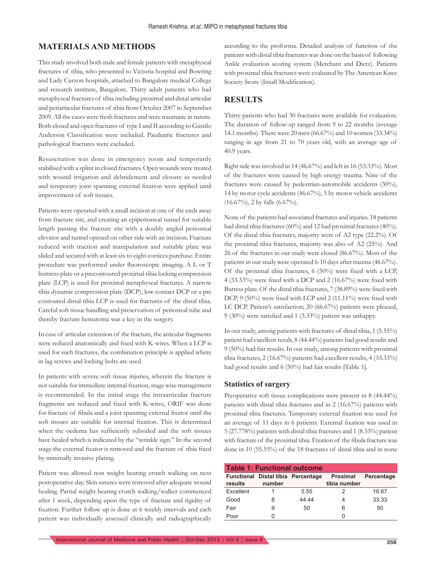## **MATERIALS AND METHODS**

This study involved both male and female patients with metaphyseal fractures of tibia, who presented to Victoria hospital and Bowring and Lady Curzon hospitals, attached to Bangalore medical College and research institute, Bangalore. Thirty adult patients who had metaphyseal fractures of tibia including proximal and distal articular and periarticular fractures of tibia from October 2007 to September 2009. All the cases were fresh fractures and were traumatic in nature. Both closed and open fractures of type I and II according to Gustilo Anderson Classification were included. Paediatric fractures and pathological fractures were excluded.

Resuscitation was done in emergency room and temporarily stabilised with a splint in closed fractures. Open wounds were treated with wound irrigation and debridement and closure as needed and temporary joint spanning external fixation were applied until improvement of soft tissues.

Patients were operated with a small incision at one of the ends away from fracture site, and creating an epiperiosteal tunnel for suitable length passing the fracture site with a doubly angled periosteal elevator and tunnel opened on other side with an incision. Fracture reduced with traction and manipulation and suitable plate was slided and secured with at least six to eight cortices purchase. Entire procedure was performed under fluoroscopic imaging. A L or T buttress plate or a precontoured proximal tibia locking compression plate (LCP) is used for proximal metaphyseal fractures. A narrow tibia dynamic compression plate (DCP), low contact DCP or a pre contoured distal tibia LCP is used for fractures of the distal tibia. Careful soft tissue handling and preservation of periosteal tube and thereby fracture hematoma was a key in the surgery.

In case of articular extension of the fracture, the articular fragments were reduced anatomically and fixed with K-wires. When a LCP is used for such fractures, the combination principle is applied where in lag screws and locking bolts are used.

In patients with severe soft tissue injuries, wherein the fracture is not suitable for immediate internal fixation, stage wise management is recommended. In the initial stage the intraarticular fracture fragments are reduced and fixed with K-wires, ORIF was done for fracture of fibula and a joint spanning external fixator until the soft tissues are suitable for internal fixation. This is determined when the oedema has sufficiently subsided and the soft tissues have healed which is indicated by the "wrinkle sign." In the second stage the external fixator is removed and the fracture of tibia fixed by minimally invasive plating.

Patient was allowed non weight bearing crutch walking on next postoperative day. Skin sutures were removed after adequate wound healing. Partial weight bearing crutch walking/walker commenced after 1 week, depending upon the type of fracture and rigidity of fixation. Further follow up is done at 6 weekly intervals and each patient was individually assessed clinically and radiographically according to the proforma. Detailed analysis of function of the patients with distal tibia fractures was done on the basis of following Ankle evaluation scoring system (Merchant and Dietz). Patients with proximal tibia fractures were evaluated by The American Knee Society Score (Insall Modification).

## **RESULTS**

Thirty patients who had 30 fractures were available for evaluation. The duration of follow-up ranged from 9 to 22 months (average 14.1 months). There were 20 men (66.67%) and 10 women (33.34%) ranging in age from 21 to 70 years old, with an average age of 40.9 years.

Right side was involved in 14 (46.67%) and left in 16 (53.33%). Most of the fractures were caused by high energy trauma. Nine of the fractures were caused by pedestrian-automobile accidents (30%), 14 by motor cycle accidents (46.67%), 5 by motor vehicle accidents (16.67%), 2 by falls (6.67%).

None of the patients had associated fractures and injuries. 18 patients had distal tibia fractures (60%) and 12 had proximal fractures (40%). Of the distal tibia fractures, majority were of A2 type (22.2%). Of the proximal tibia fractures, majority was also of A2 (25%). And 26 of the fractures in our study were closed (86.67%). Most of the patients in our study were operated 6-10 days after trauma (46.67%). Of the proximal tibia fractures, 6 (50%) were fixed with a LCP, 4 (33.33%) were fixed with a DCP and 2 (16.67%) were fixed with Butress plate. Of the distal tibia fractures, 7 (38.89%) were fixed with DCP, 9 (50%) were fixed with LCP and 2 (11.11%) were fixed with LC DCP. Patient's satisfaction; 20 (66.67%) patients were pleased, 9 (30%) were satisfied and 1 (3.33%) patient was unhappy.

In our study, among patients with fractures of distal tibia, 1 (5.55%) patient had excellent result, 8 (44.44%) patients had good results and 9 (50%) had fair results. In our study, among patients with proximal tibia fractures, 2 (16.67%) patients had excellent results, 4 (33.33%) had good results and 6 (50%) had fair results [Table 1].

#### **Statistics of surgery**

Preoperative soft tissue complications were present in 8 (44.44%) patients with distal tibia fractures and in 2 (16.67%) patients with proximal tibia fractures. Temporary external fixation was used for an average of 11 days in 6 patients. External fixation was used in 5 (27.778%) patients with distal tibia fractures and 1 (8.33%) patient with fracture of the proximal tibia. Fixation of the fibula fracture was done in 10 (55.55%) of the 18 fractures of distal tibia and in none

| <b>Table 1: Functional outcome</b> |        |                                           |                                 |            |
|------------------------------------|--------|-------------------------------------------|---------------------------------|------------|
| results                            | number | <b>Functional Distal tibia Percentage</b> | <b>Proximal</b><br>tibia number | Percentage |
| Excellent                          |        | 5.55                                      | 2                               | 16.67      |
| Good                               | 8      | 44.44                                     |                                 | 33.33      |
| Fair                               | 9      | 50                                        | 6                               | 50         |
| Poor                               |        |                                           |                                 |            |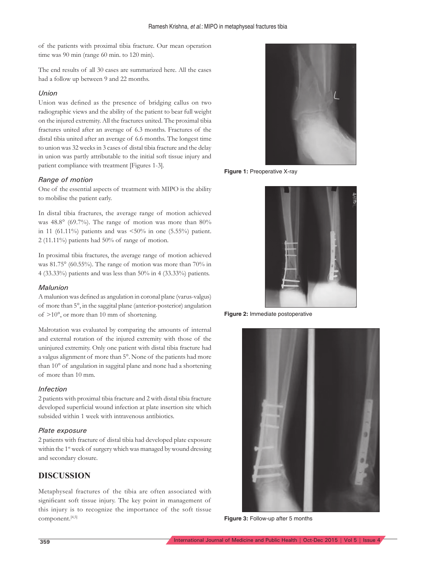of the patients with proximal tibia fracture. Our mean operation time was 90 min (range 60 min. to 120 min).

The end results of all 30 cases are summarized here. All the cases had a follow up between 9 and 22 months.

#### *Union*

Union was defined as the presence of bridging callus on two radiographic views and the ability of the patient to bear full weight on the injured extremity. All the fractures united. The proximal tibia fractures united after an average of 6.3 months. Fractures of the distal tibia united after an average of 6.6 months. The longest time to union was 32 weeks in 3 cases of distal tibia fracture and the delay in union was partly attributable to the initial soft tissue injury and patient compliance with treatment [Figures 1-3].

#### *Range of motion*

One of the essential aspects of treatment with MIPO is the ability to mobilise the patient early.

In distal tibia fractures, the average range of motion achieved was 48.8° (69.7%). The range of motion was more than 80% in 11 (61.11%) patients and was  $\lt 50\%$  in one (5.55%) patient. 2 (11.11%) patients had 50% of range of motion.

In proximal tibia fractures, the average range of motion achieved was 81.75° (60.55%). The range of motion was more than 70% in 4 (33.33%) patients and was less than 50% in 4 (33.33%) patients.

#### *Malunion*

A malunion was defined as angulation in coronal plane (varus-valgus) of more than 5°, in the saggital plane (anterior-posterior) angulation of >10°, or more than 10 mm of shortening.

Malrotation was evaluated by comparing the amounts of internal and external rotation of the injured extremity with those of the uninjured extremity. Only one patient with distal tibia fracture had a valgus alignment of more than 5°. None of the patients had more than 10° of angulation in saggital plane and none had a shortening of more than 10 mm.

#### *Infection*

2 patients with proximal tibia fracture and 2 with distal tibia fracture developed superficial wound infection at plate insertion site which subsided within 1 week with intravenous antibiotics.

#### *Plate exposure*

2 patients with fracture of distal tibia had developed plate exposure within the 1<sup>st</sup> week of surgery which was managed by wound dressing and secondary closure.

## **DISCUSSION**

Metaphyseal fractures of the tibia are often associated with significant soft tissue injury. The key point in management of this injury is to recognize the importance of the soft tissue component.[4,5]



**Figure 1:** Preoperative X-ray



**Figure 2:** Immediate postoperative



**Figure 3:** Follow-up after 5 months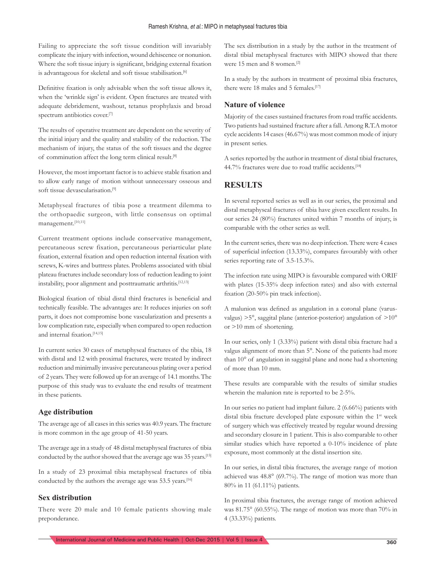Failing to appreciate the soft tissue condition will invariably complicate the injury with infection, wound dehiscence or nonunion. Where the soft tissue injury is significant, bridging external fixation is advantageous for skeletal and soft tissue stabilisation.<sup>[6]</sup>

Definitive fixation is only advisable when the soft tissue allows it, when the 'wrinkle sign' is evident. Open fractures are treated with adequate debridement, washout, tetanus prophylaxis and broad spectrum antibiotics cover.<sup>[7]</sup>

The results of operative treatment are dependent on the severity of the initial injury and the quality and stability of the reduction. The mechanism of injury, the status of the soft tissues and the degree of comminution affect the long term clinical result.[8]

However, the most important factor is to achieve stable fixation and to allow early range of motion without unnecessary osseous and soft tissue devascularisation.[9]

Metaphyseal fractures of tibia pose a treatment dilemma to the orthopaedic surgeon, with little consensus on optimal management.[10,11]

Current treatment options include conservative management, percutaneous screw fixation, percutaneous periarticular plate fixation, external fixation and open reduction internal fixation with screws, K-wires and buttress plates. Problems associated with tibial plateau fractures include secondary loss of reduction leading to joint instability, poor alignment and posttraumatic arthritis.<sup>[12,13]</sup>

Biological fixation of tibial distal third fractures is beneficial and technically feasible. The advantages are: It reduces injuries on soft parts, it does not compromise bone vascularization and presents a low complication rate, especially when compared to open reduction and internal fixation.<sup>[14,15]</sup>

In current series 30 cases of metaphyseal fractures of the tibia, 18 with distal and 12 with proximal fractures, were treated by indirect reduction and minimally invasive percutaneous plating over a period of 2 years. They were followed up for an average of 14.1 months. The purpose of this study was to evaluate the end results of treatment in these patients.

## **Age distribution**

The average age of all cases in this series was 40.9 years. The fracture is more common in the age group of 41-50 years.

The average age in a study of 48 distal metaphyseal fractures of tibia conducted by the author showed that the average age was 35 years.[15]

In a study of 23 proximal tibia metaphyseal fractures of tibia conducted by the authors the average age was 53.5 years.<sup>[16]</sup>

### **Sex distribution**

There were 20 male and 10 female patients showing male preponderance.

The sex distribution in a study by the author in the treatment of distal tibial metaphyseal fractures with MIPO showed that there were 15 men and 8 women.[2]

In a study by the authors in treatment of proximal tibia fractures, there were 18 males and 5 females.<sup>[17]</sup>

## **Nature of violence**

Majority of the cases sustained fractures from road traffic accidents. Two patients had sustained fracture after a fall. Among R.T.A motor cycle accidents 14 cases (46.67%) was most common mode of injury in present series.

A series reported by the author in treatment of distal tibial fractures, 44.7% fractures were due to road traffic accidents.<sup>[18]</sup>

## **RESULTS**

In several reported series as well as in our series, the proximal and distal metaphyseal fractures of tibia have given excellent results. In our series 24 (80%) fractures united within 7 months of injury, is comparable with the other series as well.

In the current series, there was no deep infection. There were 4 cases of superficial infection (13.33%), compares favourably with other series reporting rate of 3.5-15.3%.

The infection rate using MIPO is favourable compared with ORIF with plates (15-35% deep infection rates) and also with external fixation (20-50% pin track infection).

A malunion was defined as angulation in a coronal plane (varusvalgus) >5°, saggital plane (anterior-posterior) angulation of >10° or >10 mm of shortening.

In our series, only 1 (3.33%) patient with distal tibia fracture had a valgus alignment of more than 5°. None of the patients had more than 10° of angulation in saggital plane and none had a shortening of more than 10 mm.

These results are comparable with the results of similar studies wherein the malunion rate is reported to be 2-5%.

In our series no patient had implant failure. 2 (6.66%) patients with distal tibia fracture developed plate exposure within the 1<sup>st</sup> week of surgery which was effectively treated by regular wound dressing and secondary closure in 1 patient. This is also comparable to other similar studies which have reported a 0-10% incidence of plate exposure, most commonly at the distal insertion site.

In our series, in distal tibia fractures, the average range of motion achieved was 48.8° (69.7%). The range of motion was more than 80% in 11 (61.11%) patients.

In proximal tibia fractures, the average range of motion achieved was 81.75° (60.55%). The range of motion was more than 70% in 4 (33.33%) patients.